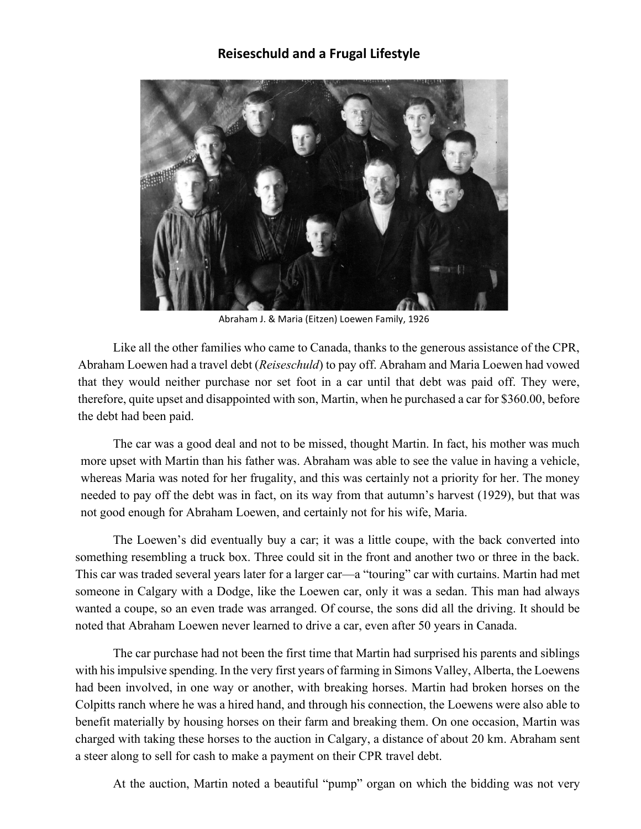## **Reiseschuld and a Frugal Lifestyle**



Abraham J. & Maria (Eitzen) Loewen Family, 1926

Like all the other families who came to Canada, thanks to the generous assistance of the CPR, Abraham Loewen had a travel debt (*Reiseschuld*) to pay off. Abraham and Maria Loewen had vowed that they would neither purchase nor set foot in a car until that debt was paid off. They were, therefore, quite upset and disappointed with son, Martin, when he purchased a car for \$360.00, before the debt had been paid.

The car was a good deal and not to be missed, thought Martin. In fact, his mother was much more upset with Martin than his father was. Abraham was able to see the value in having a vehicle, whereas Maria was noted for her frugality, and this was certainly not a priority for her. The money needed to pay off the debt was in fact, on its way from that autumn's harvest (1929), but that was not good enough for Abraham Loewen, and certainly not for his wife, Maria.

The Loewen's did eventually buy a car; it was a little coupe, with the back converted into something resembling a truck box. Three could sit in the front and another two or three in the back. This car was traded several years later for a larger car—a "touring" car with curtains. Martin had met someone in Calgary with a Dodge, like the Loewen car, only it was a sedan. This man had always wanted a coupe, so an even trade was arranged. Of course, the sons did all the driving. It should be noted that Abraham Loewen never learned to drive a car, even after 50 years in Canada.

The car purchase had not been the first time that Martin had surprised his parents and siblings with his impulsive spending. In the very first years of farming in Simons Valley, Alberta, the Loewens had been involved, in one way or another, with breaking horses. Martin had broken horses on the Colpitts ranch where he was a hired hand, and through his connection, the Loewens were also able to benefit materially by housing horses on their farm and breaking them. On one occasion, Martin was charged with taking these horses to the auction in Calgary, a distance of about 20 km. Abraham sent a steer along to sell for cash to make a payment on their CPR travel debt.

At the auction, Martin noted a beautiful "pump" organ on which the bidding was not very